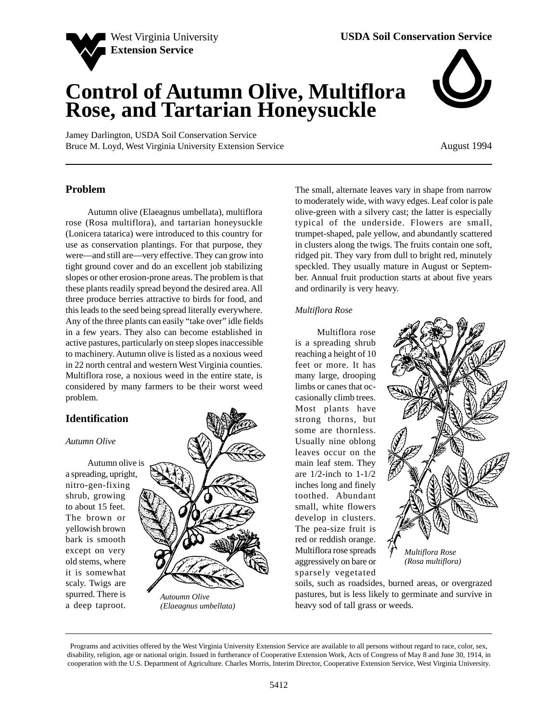

# **Control of Autumn Olive, Multiflora Rose, and Tartarian Honeysuckle**

Jamey Darlington, USDA Soil Conservation Service Bruce M. Loyd, West Virginia University Extension Service



August 1994

## **Problem**

Autumn olive (Elaeagnus umbellata), multiflora rose (Rosa multiflora), and tartarian honeysuckle (Lonicera tatarica) were introduced to this country for use as conservation plantings. For that purpose, they were—and still are—very effective. They can grow into tight ground cover and do an excellent job stabilizing slopes or other erosion-prone areas. The problem is that these plants readily spread beyond the desired area. All three produce berries attractive to birds for food, and this leads to the seed being spread literally everywhere. Any of the three plants can easily "take over" idle fields in a few years. They also can become established in active pastures, particularly on steep slopes inaccessible to machinery. Autumn olive is listed as a noxious weed in 22 north central and western West Virginia counties. Multiflora rose, a noxious weed in the entire state, is considered by many farmers to be their worst weed problem.

# **Identification**

#### *Autumn Olive*

Autumn olive is a spreading, upright, nitro-gen-fixing shrub, growing to about 15 feet. The brown or yellowish brown bark is smooth except on very old stems, where it is somewhat scaly. Twigs are spurred. There is a deep taproot.



*(Elaeagnus umbellata)*

The small, alternate leaves vary in shape from narrow to moderately wide, with wavy edges. Leaf color is pale olive-green with a silvery cast; the latter is especially typical of the underside. Flowers are small, trumpet-shaped, pale yellow, and abundantly scattered in clusters along the twigs. The fruits contain one soft, ridged pit. They vary from dull to bright red, minutely speckled. They usually mature in August or September. Annual fruit production starts at about five years and ordinarily is very heavy.

#### *Multiflora Rose*

Multiflora rose is a spreading shrub reaching a height of 10 feet or more. It has many large, drooping limbs or canes that occasionally climb trees. Most plants have strong thorns, but some are thornless. Usually nine oblong leaves occur on the main leaf stem. They are 1/2-inch to 1-1/2 inches long and finely toothed. Abundant small, white flowers develop in clusters. The pea-size fruit is red or reddish orange. Multiflora rose spreads aggressively on bare or sparsely vegetated



soils, such as roadsides, burned areas, or overgrazed pastures, but is less likely to germinate and survive in heavy sod of tall grass or weeds.

Programs and activities offered by the West Virginia University Extension Service are available to all persons without regard to race, color, sex, disability, religion, age or national origin. Issued in furtherance of Cooperative Extension Work, Acts of Congress of May 8 and June 30, 1914, in cooperation with the U.S. Department of Agriculture. Charles Morris, Interim Director, Cooperative Extension Service, West Virginia University.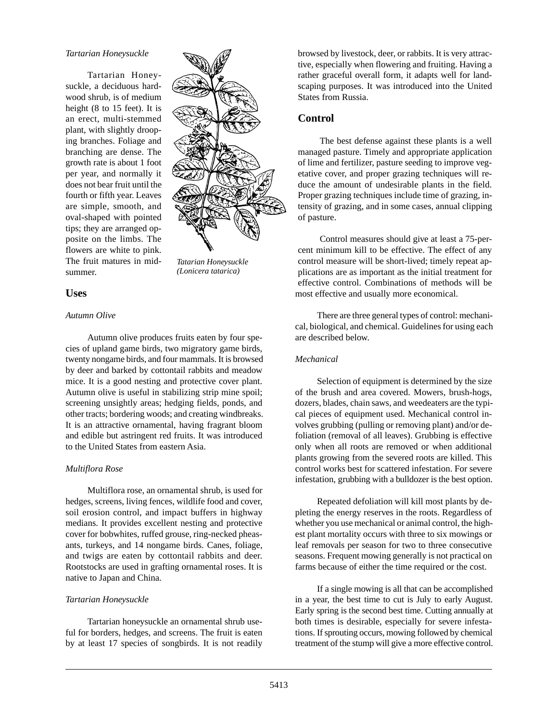#### *Tartarian Honeysuckle*

Tartarian Honeysuckle, a deciduous hardwood shrub, is of medium height (8 to 15 feet). It is an erect, multi-stemmed plant, with slightly drooping branches. Foliage and branching are dense. The growth rate is about 1 foot per year, and normally it does not bear fruit until the fourth or fifth year. Leaves are simple, smooth, and oval-shaped with pointed tips; they are arranged opposite on the limbs. The flowers are white to pink. The fruit matures in midsummer.



*Tatarian Honeysuckle (Lonicera tatarica)*

# **Uses**

#### *Autumn Olive*

Autumn olive produces fruits eaten by four species of upland game birds, two migratory game birds, twenty nongame birds, and four mammals. It is browsed by deer and barked by cottontail rabbits and meadow mice. It is a good nesting and protective cover plant. Autumn olive is useful in stabilizing strip mine spoil; screening unsightly areas; hedging fields, ponds, and other tracts; bordering woods; and creating windbreaks. It is an attractive ornamental, having fragrant bloom and edible but astringent red fruits. It was introduced to the United States from eastern Asia.

## *Multiflora Rose*

Multiflora rose, an ornamental shrub, is used for hedges, screens, living fences, wildlife food and cover, soil erosion control, and impact buffers in highway medians. It provides excellent nesting and protective cover for bobwhites, ruffed grouse, ring-necked pheasants, turkeys, and 14 nongame birds. Canes, foliage, and twigs are eaten by cottontail rabbits and deer. Rootstocks are used in grafting ornamental roses. It is native to Japan and China.

## *Tartarian Honeysuckle*

Tartarian honeysuckle an ornamental shrub useful for borders, hedges, and screens. The fruit is eaten by at least 17 species of songbirds. It is not readily browsed by livestock, deer, or rabbits. It is very attractive, especially when flowering and fruiting. Having a rather graceful overall form, it adapts well for landscaping purposes. It was introduced into the United States from Russia.

# **Control**

The best defense against these plants is a well managed pasture. Timely and appropriate application of lime and fertilizer, pasture seeding to improve vegetative cover, and proper grazing techniques will reduce the amount of undesirable plants in the field. Proper grazing techniques include time of grazing, intensity of grazing, and in some cases, annual clipping of pasture.

Control measures should give at least a 75-percent minimum kill to be effective. The effect of any control measure will be short-lived; timely repeat applications are as important as the initial treatment for effective control. Combinations of methods will be most effective and usually more economical.

There are three general types of control: mechanical, biological, and chemical. Guidelines for using each are described below.

## *Mechanical*

Selection of equipment is determined by the size of the brush and area covered. Mowers, brush-hogs, dozers, blades, chain saws, and weedeaters are the typical pieces of equipment used. Mechanical control involves grubbing (pulling or removing plant) and/or defoliation (removal of all leaves). Grubbing is effective only when all roots are removed or when additional plants growing from the severed roots are killed. This control works best for scattered infestation. For severe infestation, grubbing with a bulldozer is the best option.

Repeated defoliation will kill most plants by depleting the energy reserves in the roots. Regardless of whether you use mechanical or animal control, the highest plant mortality occurs with three to six mowings or leaf removals per season for two to three consecutive seasons. Frequent mowing generally is not practical on farms because of either the time required or the cost.

If a single mowing is all that can be accomplished in a year, the best time to cut is July to early August. Early spring is the second best time. Cutting annually at both times is desirable, especially for severe infestations. If sprouting occurs, mowing followed by chemical treatment of the stump will give a more effective control.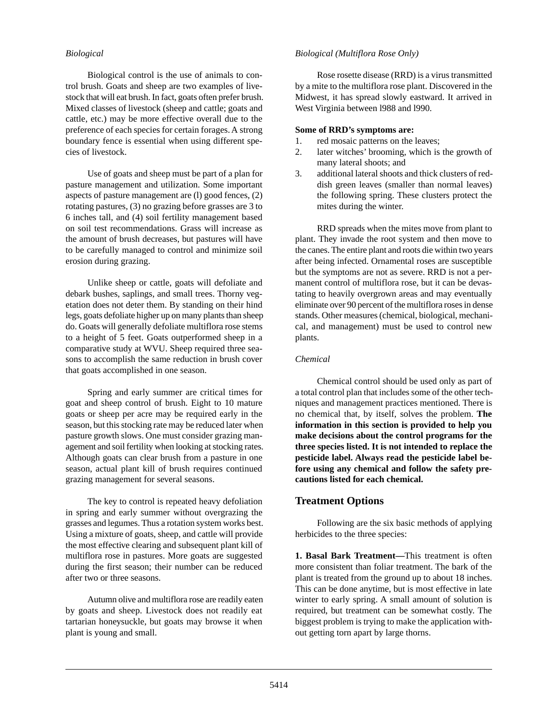## *Biological*

Biological control is the use of animals to control brush. Goats and sheep are two examples of livestock that will eat brush. In fact, goats often prefer brush. Mixed classes of livestock (sheep and cattle; goats and cattle, etc.) may be more effective overall due to the preference of each species for certain forages. A strong boundary fence is essential when using different species of livestock.

Use of goats and sheep must be part of a plan for pasture management and utilization. Some important aspects of pasture management are (l) good fences, (2) rotating pastures, (3) no grazing before grasses are 3 to 6 inches tall, and (4) soil fertility management based on soil test recommendations. Grass will increase as the amount of brush decreases, but pastures will have to be carefully managed to control and minimize soil erosion during grazing.

Unlike sheep or cattle, goats will defoliate and debark bushes, saplings, and small trees. Thorny vegetation does not deter them. By standing on their hind legs, goats defoliate higher up on many plants than sheep do. Goats will generally defoliate multiflora rose stems to a height of 5 feet. Goats outperformed sheep in a comparative study at WVU. Sheep required three seasons to accomplish the same reduction in brush cover that goats accomplished in one season.

Spring and early summer are critical times for goat and sheep control of brush. Eight to 10 mature goats or sheep per acre may be required early in the season, but this stocking rate may be reduced later when pasture growth slows. One must consider grazing management and soil fertility when looking at stocking rates. Although goats can clear brush from a pasture in one season, actual plant kill of brush requires continued grazing management for several seasons.

The key to control is repeated heavy defoliation in spring and early summer without overgrazing the grasses and legumes. Thus a rotation system works best. Using a mixture of goats, sheep, and cattle will provide the most effective clearing and subsequent plant kill of multiflora rose in pastures. More goats are suggested during the first season; their number can be reduced after two or three seasons.

Autumn olive and multiflora rose are readily eaten by goats and sheep. Livestock does not readily eat tartarian honeysuckle, but goats may browse it when plant is young and small.

## *Biological (Multiflora Rose Only)*

Rose rosette disease (RRD) is a virus transmitted by a mite to the multiflora rose plant. Discovered in the Midwest, it has spread slowly eastward. It arrived in West Virginia between l988 and l990.

#### **Some of RRD's symptoms are:**

- 1. red mosaic patterns on the leaves;
- 2. later witches' brooming, which is the growth of many lateral shoots; and
- 3. additional lateral shoots and thick clusters of reddish green leaves (smaller than normal leaves) the following spring. These clusters protect the mites during the winter.

RRD spreads when the mites move from plant to plant. They invade the root system and then move to the canes. The entire plant and roots die within two years after being infected. Ornamental roses are susceptible but the symptoms are not as severe. RRD is not a permanent control of multiflora rose, but it can be devastating to heavily overgrown areas and may eventually eliminate over 90 percent of the multiflora roses in dense stands. Other measures (chemical, biological, mechanical, and management) must be used to control new plants.

### *Chemical*

Chemical control should be used only as part of a total control plan that includes some of the other techniques and management practices mentioned. There is no chemical that, by itself, solves the problem. **The information in this section is provided to help you make decisions about the control programs for the three species listed. It is not intended to replace the pesticide label. Always read the pesticide label before using any chemical and follow the safety precautions listed for each chemical.**

# **Treatment Options**

Following are the six basic methods of applying herbicides to the three species:

**1. Basal Bark Treatment—**This treatment is often more consistent than foliar treatment. The bark of the plant is treated from the ground up to about 18 inches. This can be done anytime, but is most effective in late winter to early spring. A small amount of solution is required, but treatment can be somewhat costly. The biggest problem is trying to make the application without getting torn apart by large thorns.